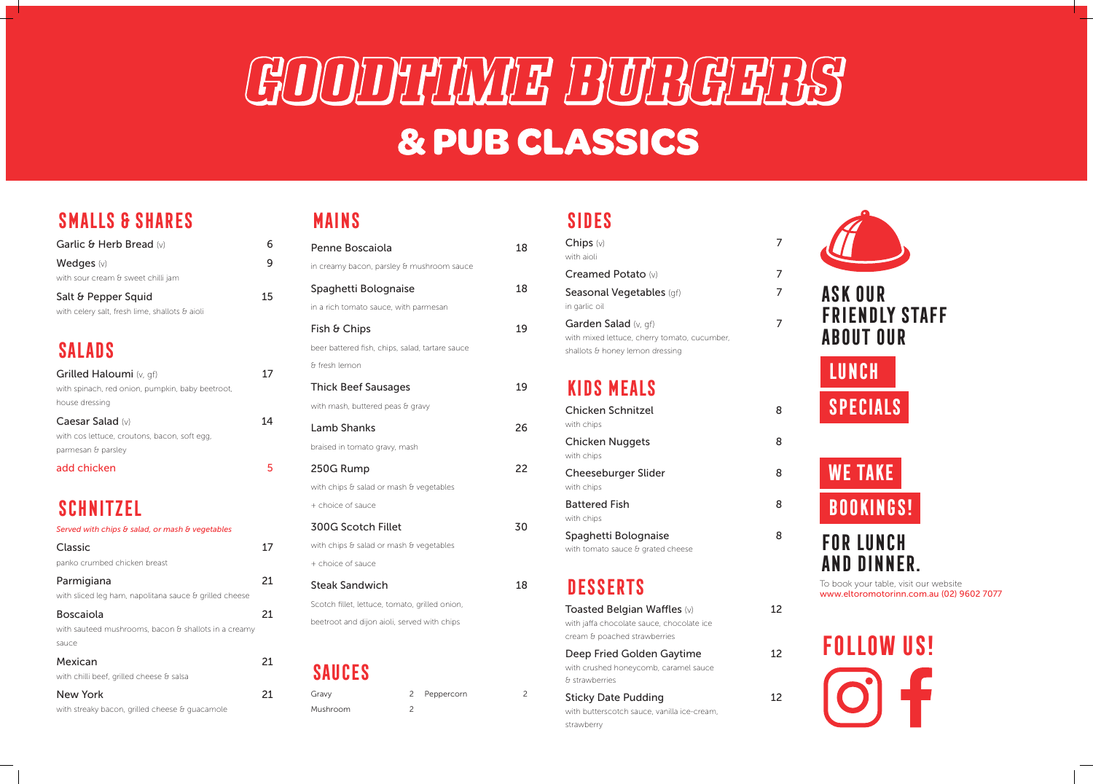## GOODTHWE BUBGERS & PUB CLASSICS

### **Smalls & Shares**

| Garlic & Herb Bread (v)                               | 6  |
|-------------------------------------------------------|----|
| Wedges $(v)$                                          | 9  |
| with sour cream & sweet chilli jam                    |    |
| Salt & Pepper Squid                                   | 15 |
| with celery salt, fresh lime, shallots $\theta$ aioli |    |
| <b>SALADS</b>                                         |    |
| <b>Grilled Haloumi</b> (v, gf)                        |    |
| with spinach, red onion, pumpkin, baby beetroot,      |    |
| house dressing                                        |    |
| Caesar Salad (v)                                      |    |
| with cos lettuce, croutons, bacon, soft egg,          |    |
| parmesan & parsley                                    |    |

add chicken

5

## **Schnitzel**

| Served with chips & salad, or mash & vegetables               |    |
|---------------------------------------------------------------|----|
| <b>Classic</b>                                                | 17 |
| panko crumbed chicken breast                                  |    |
| Parmigiana                                                    | 21 |
| with sliced leg ham, napolitana sauce $\theta$ grilled cheese |    |
| <b>Boscaiola</b>                                              | 21 |
| with sauteed mushrooms, bacon $\theta$ shallots in a creamy   |    |
| sauce                                                         |    |
| Mexican                                                       | 21 |
| with chilli beef, grilled cheese & salsa                      |    |
| <b>New York</b>                                               | 21 |
| with streaky bacon, grilled cheese & quacamole                |    |

#### **Mains**

| Penne Boscaiola                                 | 18 |
|-------------------------------------------------|----|
| in creamy bacon, parsley & mushroom sauce       |    |
| Spaghetti Bolognaise                            | 18 |
| in a rich tomato sauce, with parmesan           |    |
| Fish & Chips                                    | 19 |
| beer battered fish, chips, salad, tartare sauce |    |
| & fresh lemon                                   |    |
| <b>Thick Beef Sausages</b>                      | 19 |
| with mash, buttered peas & gravy                |    |
| <b>Lamb Shanks</b>                              | 26 |
| braised in tomato gravy, mash                   |    |
| 250G Rump                                       | 22 |
| with chips & salad or mash & vegetables         |    |
| + choice of sauce                               |    |
| <b>300G Scotch Fillet</b>                       | 30 |
| with chips & salad or mash & vegetables         |    |
| + choice of sauce                               |    |
| <b>Steak Sandwich</b>                           | 18 |
| Scotch fillet, lettuce, tomato, grilled onion,  |    |
| beetroot and dijon aioli, served with chips     |    |
|                                                 |    |

#### **Sides**

| Chips $(v)$<br>with aioli                                                                               | 7  |
|---------------------------------------------------------------------------------------------------------|----|
| Creamed Potato (v)                                                                                      | 7  |
| <b>Seasonal Vegetables</b> (gf)<br>in garlic oil                                                        |    |
| Garden Salad (v, gf)<br>with mixed lettuce, cherry tomato, cucumber,<br>shallots & honey lemon dressing | 7  |
| <b>KIDS MEALS</b>                                                                                       |    |
| <b>Chicken Schnitzel</b><br>with chips                                                                  | 8  |
| <b>Chicken Nuggets</b><br>with chips                                                                    | 8  |
| <b>Cheeseburger Slider</b><br>with chips                                                                | 8  |
| <b>Battered Fish</b><br>with chips                                                                      | 8  |
| Spaghetti Bolognaise<br>with tomato sauce & grated cheese                                               | 8  |
| <b>DESSERTS</b>                                                                                         |    |
| <b>Toasted Belgian Waffles (v)</b>                                                                      | 12 |

| with jaffa chocolate sauce, chocolate ice   |    |
|---------------------------------------------|----|
| cream & poached strawberries                |    |
| Deep Fried Golden Gaytime                   | 12 |
| with crushed honeycomb, caramel sauce       |    |
| & strawberries                              |    |
| <b>Sticky Date Pudding</b>                  | 12 |
| with butterscotch sauce, vanilla ice-cream, |    |
| strawberry                                  |    |





# **Follow us!**

### **LUNCH**

**Specials**

#### **Ask our FRIENDLY STAFF About our**

## **We Take**

**Bookings!**

## **for lunch and dinner.**

To book your table, visit our website www.eltoromotorinn.com.au (02) 9602 7077

| Gravy    |  |
|----------|--|
| Mushroom |  |

| $\mathcal{P}$ | Peppercorn |
|---------------|------------|
| 2             |            |

2

### **Sauces**